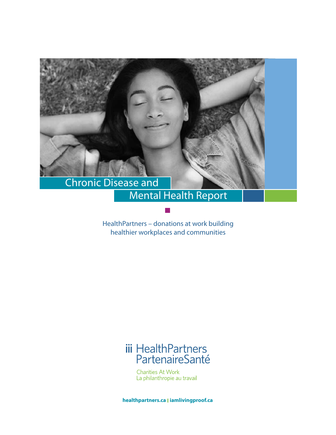

## Mental Health Report

HealthPartners – donations at work building healthier workplaces and communities

# iii HealthPartners<br>PartenaireSanté

Charities At Work La philanthropie au travail

**healthpartners.ca l iamlivingproof.ca**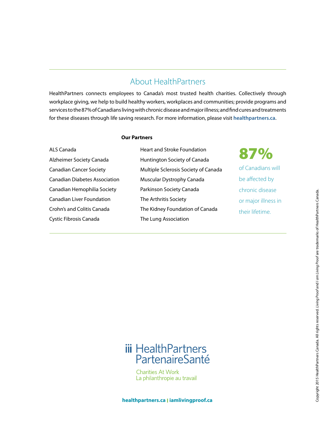### About HealthPartners

HealthPartners connects employees to Canada's most trusted health charities. Collectively through workplace giving, we help to build healthy workers, workplaces and communities; provide programs and services to the 87% of Canadians living with chronic disease and major illness; and find cures and treatments for these diseases through life saving research. For more information, please visit **healthpartners.ca**.

#### **Our Partners**

ALS Canada Alzheimer Society Canada Canadian Cancer Society Canadian Diabetes Association Canadian Hemophilia Society Canadian Liver Foundation Crohn's and Colitis Canada Cystic Fibrosis Canada

Heart and Stroke Foundation Huntington Society of Canada Multiple Sclerosis Society of Canada Muscular Dystrophy Canada Parkinson Society Canada The Arthritis Society The Kidney Foundation of Canada The Lung Association

87%

of Canadians will be affected by chronic disease or major illness in their lifetime.

## **iii** HealthPartners PartenaireSanté

**Charities At Work** La philanthropie au travail

**healthpartners.ca l iamlivingproof.ca**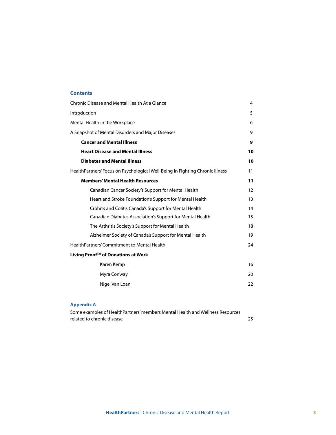#### **Contents**

| Chronic Disease and Mental Health At a Glance                                 | 4  |
|-------------------------------------------------------------------------------|----|
| Introduction                                                                  | 5  |
| Mental Health in the Workplace                                                | 6  |
| A Snapshot of Mental Disorders and Major Diseases                             | 9  |
| <b>Cancer and Mental Illness</b>                                              | 9  |
| <b>Heart Disease and Mental Illness</b>                                       | 10 |
| <b>Diabetes and Mental Illness</b>                                            | 10 |
| HealthPartners' Focus on Psychological Well-Being in Fighting Chronic Illness | 11 |
| <b>Members' Mental Health Resources</b>                                       | 11 |
| Canadian Cancer Society's Support for Mental Health                           | 12 |
| Heart and Stroke Foundation's Support for Mental Health                       | 13 |
| Crohn's and Colitis Canada's Support for Mental Health                        | 14 |
| Canadian Diabetes Association's Support for Mental Health                     | 15 |
| The Arthritis Society's Support for Mental Health                             | 18 |
| Alzheimer Society of Canada's Support for Mental Health                       | 19 |
| HealthPartners' Commitment to Mental Health                                   | 24 |
| Living Proof <sup>™</sup> of Donations at Work                                |    |
| Karen Kemp                                                                    | 16 |
| Myra Conway                                                                   | 20 |
| Nigel Van Loan                                                                | 22 |

#### **Appendix A**

Some examples of HealthPartners' members Mental Health and Wellness Resources related to chronic disease 25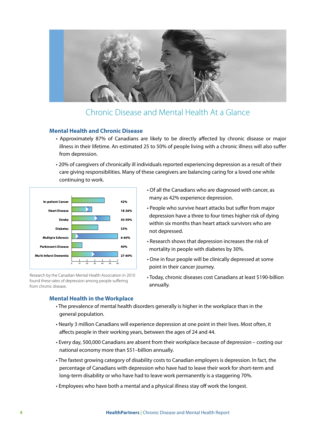

### Chronic Disease and Mental Health At a Glance

#### **Mental Health and Chronic Disease**

- Approximately 87% of Canadians are likely to be directly affected by chronic disease or major illness in their lifetime. An estimated 25 to 50% of people living with a chronic illness will also suffer from depression.
- 20% of caregivers of chronically ill individuals reported experiencing depression as a result of their care giving responsibilities. Many of these caregivers are balancing caring for a loved one while continuing to work.



Research by the Canadian Mental Health Association in 2010 found these rates of depression among people suffering from chronic disease.

- Of all the Canadians who are diagnosed with cancer, as many as 42% experience depression.
- People who survive heart attacks but suffer from major depression have a three to four times higher risk of dying within six months than heart attack survivors who are not depressed.
- Research shows that depression increases the risk of mortality in people with diabetes by 30%.
- One in four people will be clinically depressed at some point in their cancer journey.
- Today, chronic diseases cost Canadians at least \$190-billion annually.

#### **Mental Health in the Workplace**

- The prevalence of mental health disorders generally is higher in the workplace than in the general population.
- Nearly 3 million Canadians will experience depression at one point in their lives. Most often, it affects people in their working years, between the ages of 24 and 44.
- Every day, 500,000 Canadians are absent from their workplace because of depression costing our national economy more than \$51–billion annually.
- The fastest growing category of disability costs to Canadian employers is depression. In fact, the percentage of Canadians with depression who have had to leave their work for short-term and long-term disability or who have had to leave work permanently is a staggering 70%.
- Employees who have both a mental and a physical illness stay off work the longest.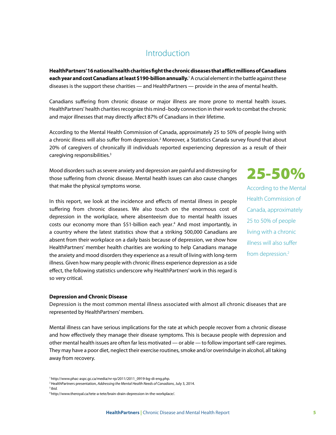### Introduction

**HealthPartners' 16 national health charities fight the chronic diseases that afflict millions of Canadians each year and cost Canadians at least \$190-billion annually.** 'A crucial element in the battle against these diseases is the support these charities — and HealthPartners — provide in the area of mental health.

Canadians suffering from chronic disease or major illness are more prone to mental health issues. HealthPartners' health charities recognize this mind–body connection in their work to combat the chronic and major illnesses that may directly affect 87% of Canadians in their lifetime.

According to the Mental Health Commission of Canada, approximately 25 to 50% of people living with a chronic illness will also suffer from depression.<sup>2</sup> Moreover, a Statistics Canada survey found that about 20% of caregivers of chronically ill individuals reported experiencing depression as a result of their caregiving responsibilities.3

Mood disorders such as severe anxiety and depression are painful and distressing for those suffering from chronic disease. Mental health issues can also cause changes that make the physical symptoms worse.

In this report, we look at the incidence and effects of mental illness in people suffering from chronic diseases. We also touch on the enormous cost of depression in the workplace, where absenteeism due to mental health issues costs our economy more than \$51-billion each year.<sup>4</sup> And most importantly, in a country where the latest statistics show that a striking 500,000 Canadians are absent from their workplace on a daily basis because of depression, we show how HealthPartners' member health charities are working to help Canadians manage the anxiety and mood disorders they experience as a result of living with long-term illness. Given how many people with chronic illness experience depression as a side effect, the following statistics underscore why HealthPartners' work in this regard is so very critical.

## 25-50%

According to the Mental Health Commission of Canada, approximately 25 to 50% of people living with a chronic illness will also suffer from depression.2

#### **Depression and Chronic Disease**

Depression is the most common mental illness associated with almost all chronic diseases that are represented by HealthPartners' members.

Mental illness can have serious implications for the rate at which people recover from a chronic disease and how effectively they manage their disease symptoms. This is because people with depression and other mental health issues are often far less motivated — or able — to follow important self-care regimes. They may have a poor diet, neglect their exercise routines, smoke and/or overindulge in alcohol, all taking away from recovery.

<sup>&</sup>lt;sup>1</sup> http://www.phac-aspc.gc.ca/media/nr-rp/2011/2011\_0919-bg-di-eng.php.

<sup>2</sup> HealthPartners presentation, *Addressing the Mental Health Needs of Canadians*, July 3, 2014.

<sup>3</sup>*Ibid.*

<sup>4</sup> http://www.theroyal.ca/tete-a-tete/brain-drain-depression-in-the-workplace/.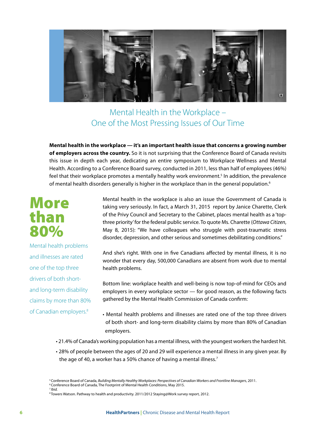

## Mental Health in the Workplace – One of the Most Pressing Issues of Our Time

**Mental health in the workplace — it's an important health issue that concerns a growing number of employers across the country.** So it is not surprising that the Conference Board of Canada revisits this issue in depth each year, dedicating an entire symposium to Workplace Wellness and Mental Health. According to a Conference Board survey, conducted in 2011, less than half of employees (46%) feel that their workplace promotes a mentally healthy work environment.<sup>5</sup> In addition, the prevalence of mental health disorders generally is higher in the workplace than in the general population.<sup>6</sup>

## More than 80%

Mental health problems and illnesses are rated one of the top three drivers of both shortand long-term disability claims by more than 80% of Canadian employers.8

Mental health in the workplace is also an issue the Government of Canada is taking very seriously. In fact, a March 31, 2015 report by Janice Charette, Clerk of the Privy Council and Secretary to the Cabinet, places mental health as a 'topthree priority' for the federal public service. To quote Ms. Charette (*Ottawa Citizen*, May 8, 2015): "We have colleagues who struggle with post-traumatic stress disorder, depression, and other serious and sometimes debilitating conditions."

And she's right. With one in five Canadians affected by mental illness, it is no wonder that every day, 500,000 Canadians are absent from work due to mental health problems.

Bottom line: workplace health and well-being is now top-of-mind for CEOs and employers in every workplace sector — for good reason, as the following facts gathered by the Mental Health Commission of Canada confirm:

- Mental health problems and illnesses are rated one of the top three drivers of both short- and long-term disability claims by more than 80% of Canadian employers.
- 21.4% of Canada's working population has a mental illness, with the youngest workers the hardest hit.
- 28% of people between the ages of 20 and 29 will experience a mental illness in any given year. By the age of 40, a worker has a 50% chance of having a mental illness.<sup>7</sup>

<sup>5</sup> Conference Board of Canada, *Building Mentally Healthy Workplaces: Perspectives of Canadian Workers and Frontline Managers*, 2011. 6 Conference Board of Canada, The Footprint of Mental Health Conditions, May 2015. <sup>7</sup>*Ibid.*

<sup>&</sup>lt;sup>8</sup> Towers Watson. Pathway to health and productivity. 2011/2012 Staying@Work survey report, 2012.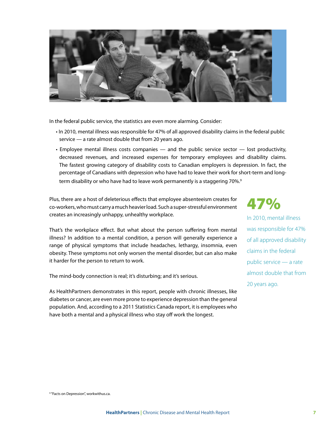

In the federal public service, the statistics are even more alarming. Consider:

- In 2010, mental illness was responsible for 47% of all approved disability claims in the federal public service — a rate almost double that from 20 years ago.
- Employee mental illness costs companies and the public service sector lost productivity, decreased revenues, and increased expenses for temporary employees and disability claims. The fastest growing category of disability costs to Canadian employers is depression. In fact, the percentage of Canadians with depression who have had to leave their work for short-term and longterm disability or who have had to leave work permanently is a staggering 70%.<sup>9</sup>

Plus, there are a host of deleterious effects that employee absenteeism creates for co-workers, who must carry a much heavier load. Such a super-stressful environment creates an increasingly unhappy, unhealthy workplace.

That's the workplace effect. But what about the person suffering from mental illness? In addition to a mental condition, a person will generally experience a range of physical symptoms that include headaches, lethargy, insomnia, even obesity. These symptoms not only worsen the mental disorder, but can also make it harder for the person to return to work.

The mind-body connection is real; it's disturbing; and it's serious.

As HealthPartners demonstrates in this report, people with chronic illnesses, like diabetes or cancer, are even more prone to experience depression than the general population. And, according to a 2011 Statistics Canada report, it is employees who have both a mental and a physical illness who stay off work the longest.

47%

In 2010, mental illness was responsible for 47% of all approved disability claims in the federal public service — a rate almost double that from 20 years ago.

<sup>9</sup> "Facts on Depression", workwithus.ca.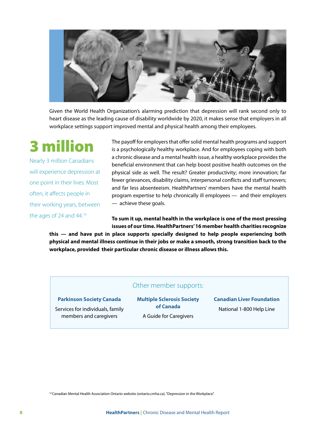

Given the World Health Organization's alarming prediction that depression will rank second only to heart disease as the leading cause of disability worldwide by 2020, it makes sense that employers in all workplace settings support improved mental and physical health among their employees.

## 3 million

Nearly 3 million Canadians will experience depression at one point in their lives. Most often, it affects people in their working years, between the ages of 24 and 44.<sup>10</sup>

The payoff for employers that offer solid mental health programs and support is a psychologically healthy workplace. And for employees coping with both a chronic disease and a mental health issue, a healthy workplace provides the beneficial environment that can help boost positive health outcomes on the physical side as well. The result? Greater productivity; more innovation; far fewer grievances, disability claims, interpersonal conflicts and staff turnovers; and far less absenteeism. HealthPartners' members have the mental health program expertise to help chronically ill employees — and their employers — achieve these goals.

**To sum it up, mental health in the workplace is one of the most pressing issues of our time. HealthPartners' 16 member health charities recognize** 

**this — and have put in place supports specially designed to help people experiencing both physical and mental illness continue in their jobs or make a smooth, strong transition back to the workplace, provided their particular chronic disease or illness allows this.** 

#### Other member supports:

#### **Parkinson Society Canada**

Services for individuals, family members and caregivers

**Multiple Sclerosis Society of Canada** A Guide for Caregivers

**Canadian Liver Foundation** National 1-800 Help Line

<sup>10</sup> Canadian Mental Health Association Ontario website (ontario.cmha.ca), "Depression in the Workplace".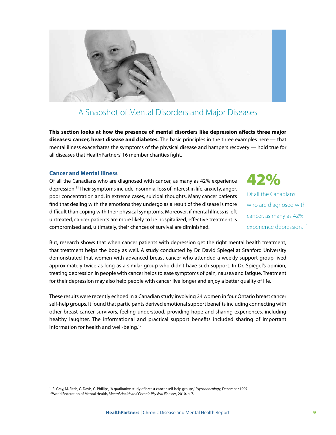

## A Snapshot of Mental Disorders and Major Diseases

**This section looks at how the presence of mental disorders like depression affects three major diseases: cancer, heart disease and diabetes.** The basic principles in the three examples here — that mental illness exacerbates the symptoms of the physical disease and hampers recovery — hold true for all diseases that HealthPartners' 16 member charities fight.

#### **Cancer and Mental Illness**

Of all the Canadians who are diagnosed with cancer, as many as 42% experience depression.11 Their symptoms include insomnia, loss of interest in life, anxiety, anger, poor concentration and, in extreme cases, suicidal thoughts. Many cancer patients find that dealing with the emotions they undergo as a result of the disease is more difficult than coping with their physical symptoms. Moreover, if mental illness is left untreated, cancer patients are more likely to be hospitalized, effective treatment is compromised and, ultimately, their chances of survival are diminished.

42% Of all the Canadians who are diagnosed with cancer, as many as 42% experience depression.<sup>11</sup>

But, research shows that when cancer patients with depression get the right mental health treatment, that treatment helps the body as well. A study conducted by Dr. David Spiegel at Stanford University demonstrated that women with advanced breast cancer who attended a weekly support group lived approximately twice as long as a similar group who didn't have such support. In Dr. Spiegel's opinion, treating depression in people with cancer helps to ease symptoms of pain, nausea and fatigue. Treatment for their depression may also help people with cancer live longer and enjoy a better quality of life.

These results were recently echoed in a Canadian study involving 24 women in four Ontario breast cancer self-help groups. It found that participants derived emotional support benefits including connecting with other breast cancer survivors, feeling understood, providing hope and sharing experiences, including healthy laughter. The informational and practical support benefits included sharing of important information for health and well-being.<sup>12</sup>

11 R. Gray, M. Fitch, C. Davis, C. Phillips, "A qualitative study of breast cancer self-help groups," *Psychooncology*, December 1997. 12 World Federation of Mental Health, *Mental Health and Chronic Physical Illnesses*, 2010, p. 7.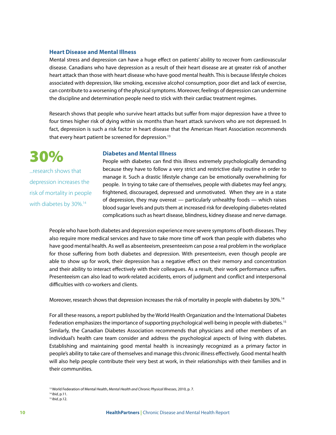#### **Heart Disease and Mental Illness**

Mental stress and depression can have a huge effect on patients' ability to recover from cardiovascular disease. Canadians who have depression as a result of their heart disease are at greater risk of another heart attack than those with heart disease who have good mental health. This is because lifestyle choices associated with depression, like smoking, excessive alcohol consumption, poor diet and lack of exercise, can contribute to a worsening of the physical symptoms. Moreover, feelings of depression can undermine the discipline and determination people need to stick with their cardiac treatment regimes.

Research shows that people who survive heart attacks but suffer from major depression have a three to four times higher risk of dying within six months than heart attack survivors who are not depressed. In fact, depression is such a risk factor in heart disease that the American Heart Association recommends that every heart patient be screened for depression.<sup>13</sup>

#### **Diabetes and Mental Illness**

...research shows that depression increases the risk of mortality in people with diabetes by 30%.<sup>14</sup>

30%

People with diabetes can find this illness extremely psychologically demanding because they have to follow a very strict and restrictive daily routine in order to manage it. Such a drastic lifestyle change can be emotionally overwhelming for people. In trying to take care of themselves, people with diabetes may feel angry, frightened, discouraged, depressed and unmotivated. When they are in a state of depression, they may overeat — particularly unhealthy foods — which raises blood sugar levels and puts them at increased risk for developing diabetes-related complications such as heart disease, blindness, kidney disease and nerve damage.

People who have both diabetes and depression experience more severe symptoms of both diseases. They also require more medical services and have to take more time off work than people with diabetes who have good mental health. As well as absenteeism, presenteeism can pose a real problem in the workplace for those suffering from both diabetes and depression. With presenteeism, even though people are able to show up for work, their depression has a negative effect on their memory and concentration and their ability to interact effectively with their colleagues. As a result, their work performance suffers. Presenteeism can also lead to work-related accidents, errors of judgment and conflict and interpersonal difficulties with co-workers and clients.

Moreover, research shows that depression increases the risk of mortality in people with diabetes by 30%.<sup>14</sup>

For all these reasons, a report published by the World Health Organization and the International Diabetes Federation emphasizes the importance of supporting psychological well-being in people with diabetes.<sup>15</sup> Similarly, the Canadian Diabetes Association recommends that physicians and other members of an individual's health care team consider and address the psychological aspects of living with diabetes. Establishing and maintaining good mental health is increasingly recognized as a primary factor in people's ability to take care of themselves and manage this chronic illness effectively. Good mental health will also help people contribute their very best at work, in their relationships with their families and in their communities.

<sup>&</sup>lt;sup>13</sup> World Federation of Mental Health, *Mental Health and Chronic Physical Illnesses*, 2010, p. 7.<br><sup>14</sup> Ibid, p.11. <sup>15</sup> *Ibid*, p.12.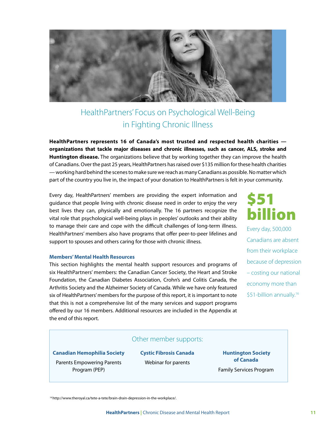

## HealthPartners' Focus on Psychological Well-Being in Fighting Chronic Illness

**HealthPartners represents 16 of Canada's most trusted and respected health charities organizations that tackle major diseases and chronic illnesses, such as cancer, ALS, stroke and Huntington disease.** The organizations believe that by working together they can improve the health of Canadians. Over the past 25 years, HealthPartners has raised over \$135 million for these health charities — working hard behind the scenes to make sure we reach as many Canadians as possible. No matter which part of the country you live in, the impact of your donation to HealthPartners is felt in your community.

Every day, HealthPartners' members are providing the expert information and guidance that people living with chronic disease need in order to enjoy the very best lives they can, physically and emotionally. The 16 partners recognize the vital role that psychological well-being plays in peoples' outlooks and their ability to manage their care and cope with the difficult challenges of long-term illness. HealthPartners' members also have programs that offer peer-to-peer lifelines and support to spouses and others caring for those with chronic illness.

#### **Members' Mental Health Resources**

This section highlights the mental health support resources and programs of six HealthPartners' members: the Canadian Cancer Society, the Heart and Stroke Foundation, the Canadian Diabetes Association, Crohn's and Colitis Canada, the Arthritis Society and the Alzheimer Society of Canada. While we have only featured six of HealthPartners' members for the purpose of this report, it is important to note that this is not a comprehensive list of the many services and support programs offered by our 16 members. Additional resources are included in the Appendix at the end of this report.

\$51 billion Every day, 500,000 Canadians are absent from their workplace because of depression

– costing our national economy more than \$51-billion annually.<sup>16</sup>

#### Other member supports:

**Canadian Hemophilia Society**

Parents Empowering Parents Program (PEP)

**Cystic Fibrosis Canada** Webinar for parents

 **Huntington Society of Canada**  Family Services Program

16 http://www.theroyal.ca/tete-a-tete/brain-drain-depression-in-the-workplace/.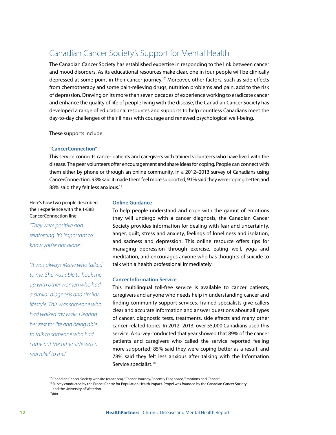### Canadian Cancer Society's Support for Mental Health

The Canadian Cancer Society has established expertise in responding to the link between cancer and mood disorders. As its educational resources make clear, one in four people will be clinically depressed at some point in their cancer journey.17 Moreover, other factors, such as side effects from chemotherapy and some pain-relieving drugs, nutrition problems and pain, add to the risk of depression. Drawing on its more than seven decades of experience working to eradicate cancer and enhance the quality of life of people living with the disease, the Canadian Cancer Society has developed a range of educational resources and supports to help countless Canadians meet the day-to-day challenges of their illness with courage and renewed psychological well-being.

These supports include:

#### **"CancerConnection"**

This service connects cancer patients and caregivers with trained volunteers who have lived with the disease. The peer volunteers offer encouragement and share ideas for coping. People can connect with them either by phone or through an online community. In a 2012–2013 survey of Canadians using CancerConnection, 93% said it made them feel more supported; 91% said they were coping better; and 88% said they felt less anxious.<sup>18</sup>

Here's how two people described their experience with the 1-888 CancerConnection line:

*"They were positive and reinforcing. It's important to know you're not alone."*

*"It was always Marie who talked to me. She was able to hook me up with other women who had a similar diagnosis and similar lifestyle. This was someone who had walked my walk. Hearing her zest for life and being able to talk to someone who had come out the other side was a real relief to me."* 

#### **Online Guidance**

To help people understand and cope with the gamut of emotions they will undergo with a cancer diagnosis, the Canadian Cancer Society provides information for dealing with fear and uncertainty, anger, guilt, stress and anxiety, feelings of loneliness and isolation, and sadness and depression. This online resource offers tips for managing depression through exercise, eating well, yoga and meditation, and encourages anyone who has thoughts of suicide to talk with a health professional immediately.

#### **Cancer Information Service**

This multilingual toll-free service is available to cancer patients, caregivers and anyone who needs help in understanding cancer and finding community support services. Trained specialists give callers clear and accurate information and answer questions about all types of cancer, diagnostic tests, treatments, side effects and many other cancer-related topics. In 2012–2013, over 55,000 Canadians used this service. A survey conducted that year showed that 89% of the cancer patients and caregivers who called the service reported feeling more supported; 85% said they were coping better as a result; and 78% said they felt less anxious after talking with the Information Service specialist.<sup>19</sup>

<sup>&</sup>lt;sup>17</sup> Canadian Cancer Society website (cancer.ca), "Cancer Journey/Recently Diagnosed/Emotions and Cancer".

<sup>&</sup>lt;sup>18</sup> Survey conducted by the Propel Centre for Population Health Impact. Propel was founded by the Canadian Cancer Society and the University of Waterloo.

<sup>19</sup>*Ibid.*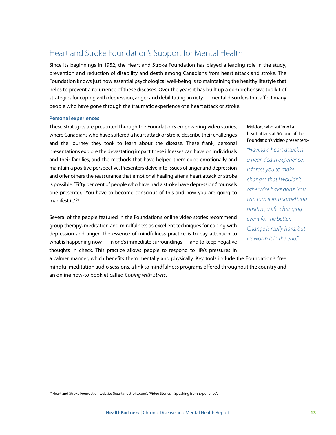### Heart and Stroke Foundation's Support for Mental Health

Since its beginnings in 1952, the Heart and Stroke Foundation has played a leading role in the study, prevention and reduction of disability and death among Canadians from heart attack and stroke. The Foundation knows just how essential psychological well-being is to maintaining the healthy lifestyle that helps to prevent a recurrence of these diseases. Over the years it has built up a comprehensive toolkit of strategies for coping with depression, anger and debilitating anxiety — mental disorders that affect many people who have gone through the traumatic experience of a heart attack or stroke.

#### **Personal experiences**

These strategies are presented through the Foundation's empowering video stories, where Canadians who have suffered a heart attack or stroke describe their challenges and the journey they took to learn about the disease. These frank, personal presentations explore the devastating impact these illnesses can have on individuals and their families, and the methods that have helped them cope emotionally and maintain a positive perspective. Presenters delve into issues of anger and depression and offer others the reassurance that emotional healing after a heart attack or stroke is possible. "Fifty per cent of people who have had a stroke have depression," counsels one presenter. "You have to become conscious of this and how you are going to manifest it." 20

Several of the people featured in the Foundation's online video stories recommend group therapy, meditation and mindfulness as excellent techniques for coping with depression and anger. The essence of mindfulness practice is to pay attention to what is happening now — in one's immediate surroundings — and to keep negative thoughts in check. This practice allows people to respond to life's pressures in

a calmer manner, which benefits them mentally and physically. Key tools include the Foundation's free mindful meditation audio sessions, a link to mindfulness programs offered throughout the country and an online how-to booklet called *Coping with Stress*.

Meldon, who suffered a heart attack at 56, one of the Foundation's video presenters– *"Having a heart attack is a near-death experience. It forces you to make changes that I wouldn't otherwise have done. You can turn it into something positive, a life-changing event for the better. Change is really hard, but it's worth it in the end."* 

<sup>20</sup> Heart and Stroke Foundation website (heartandstroke.com), "Video Stories – Speaking from Experience".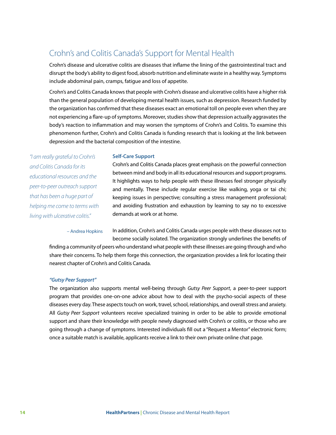## Crohn's and Colitis Canada's Support for Mental Health

Crohn's disease and ulcerative colitis are diseases that inflame the lining of the gastrointestinal tract and disrupt the body's ability to digest food, absorb nutrition and eliminate waste in a healthy way. Symptoms include abdominal pain, cramps, fatigue and loss of appetite.

Crohn's and Colitis Canada knows that people with Crohn's disease and ulcerative colitis have a higher risk than the general population of developing mental health issues, such as depression. Research funded by the organization has confirmed that these diseases exact an emotional toll on people even when they are not experiencing a flare-up of symptoms. Moreover, studies show that depression actually aggravates the body's reaction to inflammation and may worsen the symptoms of Crohn's and Colitis. To examine this phenomenon further, Crohn's and Colitis Canada is funding research that is looking at the link between depression and the bacterial composition of the intestine.

*"I am really grateful to Crohn's and Colitis Canada for its educational resources and the peer-to-peer outreach support that has been a huge part of helping me come to terms with living with ulcerative colitis."* 

#### **Self-Care Support**

Crohn's and Colitis Canada places great emphasis on the powerful connection between mind and body in all its educational resources and support programs. It highlights ways to help people with these illnesses feel stronger physically and mentally. These include regular exercise like walking, yoga or tai chi; keeping issues in perspective; consulting a stress management professional; and avoiding frustration and exhaustion by learning to say no to excessive demands at work or at home.

– Andrea Hopkins

In addition, Crohn's and Colitis Canada urges people with these diseases not to become socially isolated. The organization strongly underlines the benefits of

finding a community of peers who understand what people with these illnesses are going through and who share their concerns. To help them forge this connection, the organization provides a link for locating their nearest chapter of Crohn's and Colitis Canada.

#### *"Gutsy Peer Support"*

The organization also supports mental well-being through *Gutsy Peer Support*, a peer-to-peer support program that provides one-on-one advice about how to deal with the psycho-social aspects of these diseases every day. These aspects touch on work, travel, school, relationships, and overall stress and anxiety. All *Gutsy Peer Support* volunteers receive specialized training in order to be able to provide emotional support and share their knowledge with people newly diagnosed with Crohn's or colitis, or those who are going through a change of symptoms. Interested individuals fill out a "Request a Mentor" electronic form; once a suitable match is available, applicants receive a link to their own private online chat page.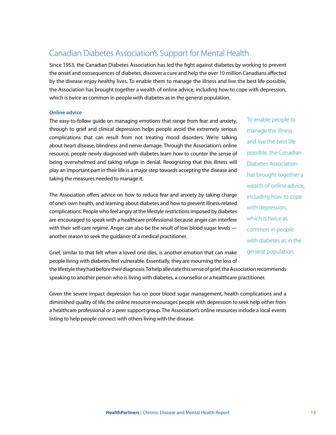## Canadian Diabetes Association's Support for Mental Health

Since 1953, the Canadian Diabetes Association has led the fight against diabetes by working to prevent the onset and consequences of diabetes, discover a cure and help the over 10 million Canadians affected by the disease enjoy healthy lives. To enable them to manage the illness and live the best life possible, the Association has brought together a wealth of online advice, including how to cope with depression, which is twice as common in people with diabetes as in the general population.

#### **Online advice**

The easy-to-follow guide on managing emotions that range from fear and anxiety, through to grief and clinical depression helps people avoid the extremely serious complications that can result from not treating mood disorders. We're talking about heart disease, blindness and nerve damage. Through the Association's online resource, people newly diagnosed with diabetes learn how to counter the sense of being overwhelmed and taking refuge in denial. Recognizing that this illness will play an important part in their life is a major step towards accepting the disease and taking the measures needed to manage it.

The Association offers advice on how to reduce fear and anxiety by taking charge of one's own health, and learning about diabetes and how to prevent illness-related complications. People who feel angry at the lifestyle restrictions imposed by diabetes are encouraged to speak with a healthcare professional because anger can interfere with their self-care regime. Anger can also be the result of low blood sugar levels another reason to seek the guidance of a medical practitioner.

To enable people to manage the illness and live the best life possible, the Canadian Diabetes Association has brought together a wealth of online advice, including how to cope with depression, which is twice as common in people with diabetes as in the general population.

Grief, similar to that felt when a loved one dies, is another emotion that can make people living with diabetes feel vulnerable. Essentially, they are mourning the loss of

the lifestyle they had before their diagnosis. To help alleviate this sense of grief, the Association recommends speaking to another person who is living with diabetes, a counsellor or a healthcare practitioner.

Given the severe impact depression has on poor blood sugar management, health complications and a diminished quality of life, the online resource encourages people with depression to seek help either from a healthcare professional or a peer support group. The Association's online resources include a local events listing to help people connect with others living with the disease.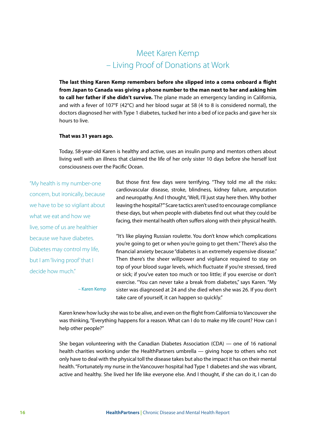## Meet Karen Kemp – Living Proof of Donations at Work

**The last thing Karen Kemp remembers before she slipped into a coma onboard a flight from Japan to Canada was giving a phone number to the man next to her and asking him to call her father if she didn't survive.** The plane made an emergency landing in California, and with a fever of 107°F (42°C) and her blood sugar at 58 (4 to 8 is considered normal), the doctors diagnosed her with Type 1 diabetes, tucked her into a bed of ice packs and gave her six hours to live.

#### **That was 31 years ago.**

Today, 58-year-old Karen is healthy and active, uses an insulin pump and mentors others about living well with an illness that claimed the life of her only sister 10 days before she herself lost consciousness over the Pacific Ocean.

"My health is my number-one concern, but ironically, because we have to be so vigilant about what we eat and how we live, some of us are healthier because we have diabetes. Diabetes may control my life, but I am 'living proof' that I decide how much."

But those first few days were terrifying. "They told me all the risks: cardiovascular disease, stroke, blindness, kidney failure, amputation and neuropathy. And I thought, 'Well, I'll just stay here then. Why bother leaving the hospital?'" Scare tactics aren't used to encourage compliance these days, but when people with diabetes find out what they could be facing, their mental health often suffers along with their physical health.

"It's like playing Russian roulette. You don't know which complications you're going to get or when you're going to get them." There's also the financial anxiety because "diabetes is an extremely expensive disease." Then there's the sheer willpower and vigilance required to stay on top of your blood sugar levels, which fluctuate if you're stressed, tired or sick; if you've eaten too much or too little; if you exercise or don't exercise. "You can never take a break from diabetes," says Karen. "My sister was diagnosed at 24 and she died when she was 26. If you don't take care of yourself, it can happen so quickly."

– Karen Kemp

Karen knew how lucky she was to be alive, and even on the flight from California to Vancouver she was thinking, "Everything happens for a reason. What can I do to make my life count? How can I help other people?"

She began volunteering with the Canadian Diabetes Association (CDA) — one of 16 national health charities working under the HealthPartners umbrella — giving hope to others who not only have to deal with the physical toll the disease takes but also the impact it has on their mental health. "Fortunately my nurse in the Vancouver hospital had Type 1 diabetes and she was vibrant, active and healthy. She lived her life like everyone else. And I thought, if she can do it, I can do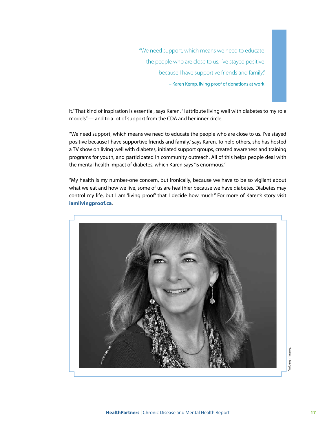"We need support, which means we need to educate the people who are close to us. I've stayed positive because I have supportive friends and family."

– Karen Kemp, living proof of donations at work

it." That kind of inspiration is essential, says Karen. "I attribute living well with diabetes to my role models" — and to a lot of support from the CDA and her inner circle.

"We need support, which means we need to educate the people who are close to us. I've stayed positive because I have supportive friends and family," says Karen. To help others, she has hosted a TV show on living well with diabetes, initiated support groups, created awareness and training programs for youth, and participated in community outreach. All of this helps people deal with the mental health impact of diabetes, which Karen says "is enormous."

"My health is my number-one concern, but ironically, because we have to be so vigilant about what we eat and how we live, some of us are healthier because we have diabetes. Diabetes may control my life, but I am 'living proof' that I decide how much." For more of Karen's story visit **iamlivingproof.ca**.

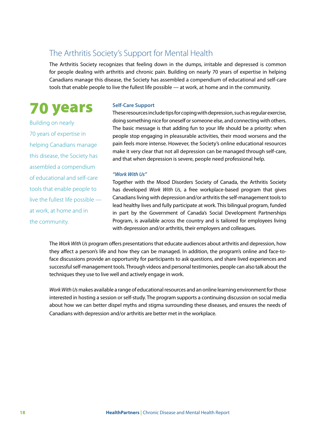### The Arthritis Society's Support for Mental Health

The Arthritis Society recognizes that feeling down in the dumps, irritable and depressed is common for people dealing with arthritis and chronic pain. Building on nearly 70 years of expertise in helping Canadians manage this disease, the Society has assembled a compendium of educational and self-care tools that enable people to live the fullest life possible — at work, at home and in the community.

## 70 years

Building on nearly 70 years of expertise in helping Canadians manage this disease, the Society has assembled a compendium of educational and self-care tools that enable people to live the fullest life possible at work, at home and in the community.

#### **Self-Care Support**

These resources include tips for coping with depression, such as regular exercise, doing something nice for oneself or someone else, and connecting with others. The basic message is that adding fun to your life should be a priority: when people stop engaging in pleasurable activities, their mood worsens and the pain feels more intense. However, the Society's online educational resources make it very clear that not all depression can be managed through self-care, and that when depression is severe, people need professional help.

#### *"Work With Us"*

Together with the Mood Disorders Society of Canada, the Arthritis Society has developed *Work With Us*, a free workplace-based program that gives Canadians living with depression and/or arthritis the self-management tools to lead healthy lives and fully participate at work. This bilingual program, funded in part by the Government of Canada's Social Development Partnerships Program, is available across the country and is tailored for employees living with depression and/or arthritis, their employers and colleagues.

The *Work With Us* program offers presentations that educate audiences about arthritis and depression, how they affect a person's life and how they can be managed. In addition, the program's online and face-toface discussions provide an opportunity for participants to ask questions, and share lived experiences and successful self-management tools. Through videos and personal testimonies, people can also talk about the techniques they use to live well and actively engage in work.

*Work With Us* makes available a range of educational resources and an online learning environment for those interested in hosting a session or self-study. The program supports a continuing discussion on social media about how we can better dispel myths and stigma surrounding these diseases, and ensures the needs of Canadians with depression and/or arthritis are better met in the workplace.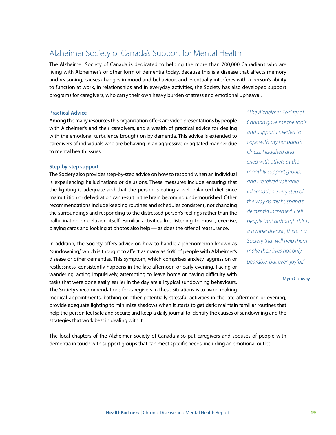## Alzheimer Society of Canada's Support for Mental Health

The Alzheimer Society of Canada is dedicated to helping the more than 700,000 Canadians who are living with Alzheimer's or other form of dementia today. Because this is a disease that affects memory and reasoning, causes changes in mood and behaviour, and eventually interferes with a person's ability to function at work, in relationships and in everyday activities, the Society has also developed support programs for caregivers, who carry their own heavy burden of stress and emotional upheaval.

#### **Practical Advice**

Among the many resources this organization offers are video presentations by people with Alzheimer's and their caregivers, and a wealth of practical advice for dealing with the emotional turbulence brought on by dementia. This advice is extended to caregivers of individuals who are behaving in an aggressive or agitated manner due to mental health issues.

#### **Step-by-step support**

The Society also provides step-by-step advice on how to respond when an individual is experiencing hallucinations or delusions. These measures include ensuring that the lighting is adequate and that the person is eating a well-balanced diet since malnutrition or dehydration can result in the brain becoming undernourished. Other recommendations include keeping routines and schedules consistent, not changing the surroundings and responding to the distressed person's feelings rather than the hallucination or delusion itself. Familiar activities like listening to music, exercise, playing cards and looking at photos also help — as does the offer of reassurance.

In addition, the Society offers advice on how to handle a phenomenon known as "sundowning," which is thought to affect as many as 66% of people with Alzheimer's disease or other dementias. This symptom, which comprises anxiety, aggression or restlessness, consistently happens in the late afternoon or early evening. Pacing or wandering, acting impulsively, attempting to leave home or having difficulty with tasks that were done easily earlier in the day are all typical sundowning behaviours. The Society's recommendations for caregivers in these situations is to avoid making

*"The Alzheimer Society of Canada gave me the tools and support I needed to cope with my husband's illness. I laughed and cried with others at the monthly support group, and I received valuable information every step of the way as my husband's dementia increased. I tell people that although this is a terrible disease, there is a Society that will help them make their lives not only bearable, but even joyful."* 

– Myra Conway

medical appointments, bathing or other potentially stressful activities in the late afternoon or evening; provide adequate lighting to minimize shadows when it starts to get dark; maintain familiar routines that help the person feel safe and secure; and keep a daily journal to identify the causes of sundowning and the strategies that work best in dealing with it.

The local chapters of the Alzheimer Society of Canada also put caregivers and spouses of people with dementia in touch with support groups that can meet specific needs, including an emotional outlet.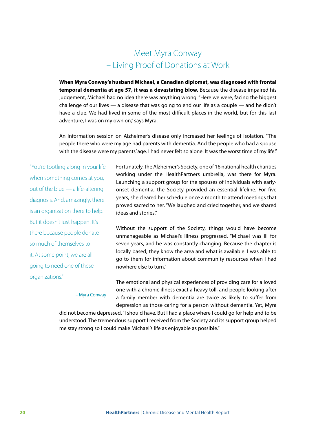## Meet Myra Conway – Living Proof of Donations at Work

**When Myra Conway's husband Michael, a Canadian diplomat, was diagnosed with frontal temporal dementia at age 57, it was a devastating blow.** Because the disease impaired his judgement, Michael had no idea there was anything wrong. "Here we were, facing the biggest challenge of our lives — a disease that was going to end our life as a couple — and he didn't have a clue. We had lived in some of the most difficult places in the world, but for this last adventure, I was on my own on," says Myra.

An information session on Alzheimer's disease only increased her feelings of isolation. "The people there who were my age had parents with dementia. And the people who had a spouse with the disease were my parents' age. I had never felt so alone. It was the worst time of my life."

"You're tootling along in your life when something comes at you, out of the blue — a life-altering diagnosis. And, amazingly, there is an organization there to help. But it doesn't just happen. It's there because people donate so much of themselves to it. At some point, we are all going to need one of these organizations."

Fortunately, the Alzheimer's Society, one of 16 national health charities working under the HealthPartners umbrella, was there for Myra. Launching a support group for the spouses of individuals with earlyonset dementia, the Society provided an essential lifeline. For five years, she cleared her schedule once a month to attend meetings that proved sacred to her. "We laughed and cried together, and we shared ideas and stories."

Without the support of the Society, things would have become unmanageable as Michael's illness progressed. "Michael was ill for seven years, and he was constantly changing. Because the chapter is locally based, they know the area and what is available. I was able to go to them for information about community resources when I had nowhere else to turn."

– Myra Conway

The emotional and physical experiences of providing care for a loved one with a chronic illness exact a heavy toll, and people looking after a family member with dementia are twice as likely to suffer from depression as those caring for a person without dementia. Yet, Myra

did not become depressed. "I should have. But I had a place where I could go for help and to be understood. The tremendous support I received from the Society and its support group helped me stay strong so I could make Michael's life as enjoyable as possible."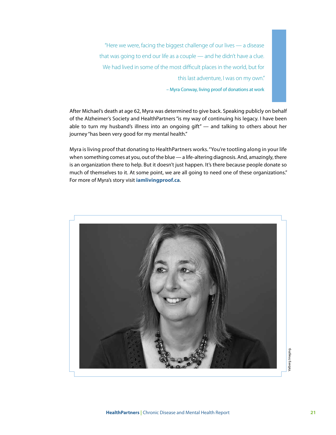"Here we were, facing the biggest challenge of our lives — a disease that was going to end our life as a couple — and he didn't have a clue. We had lived in some of the most difficult places in the world, but for this last adventure, I was on my own." – Myra Conway, living proof of donations at work

After Michael's death at age 62, Myra was determined to give back. Speaking publicly on behalf of the Alzheimer's Society and HealthPartners "is my way of continuing his legacy. I have been able to turn my husband's illness into an ongoing gift" — and talking to others about her journey "has been very good for my mental health."

Myra is living proof that donating to HealthPartners works. "You're tootling along in your life when something comes at you, out of the blue — a life-altering diagnosis. And, amazingly, there is an organization there to help. But it doesn't just happen. It's there because people donate so much of themselves to it. At some point, we are all going to need one of these organizations." For more of Myra's story visit **iamlivingproof.ca**.

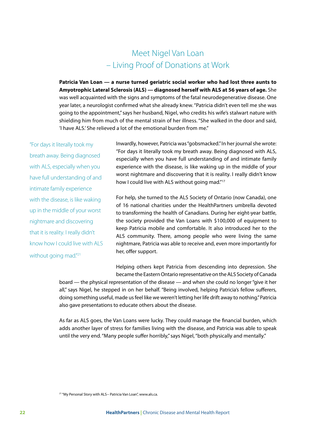## Meet Nigel Van Loan – Living Proof of Donations at Work

**Patricia Van Loan — a nurse turned geriatric social worker who had lost three aunts to Amyotrophic Lateral Sclerosis (ALS) — diagnosed herself with ALS at 56 years of age.** She was well acquainted with the signs and symptoms of the fatal neurodegenerative disease. One year later, a neurologist confirmed what she already knew. "Patricia didn't even tell me she was going to the appointment," says her husband, Nigel, who credits his wife's stalwart nature with shielding him from much of the mental strain of her illness. "She walked in the door and said, 'I have ALS.' She relieved a lot of the emotional burden from me."

"For days it literally took my breath away. Being diagnosed with ALS, especially when you have full understanding of and intimate family experience with the disease, is like waking up in the middle of your worst nightmare and discovering that it is reality. I really didn't know how I could live with ALS without going mad."<sup>21</sup>

Inwardly, however, Patricia was "gobsmacked." In her journal she wrote: "For days it literally took my breath away. Being diagnosed with ALS, especially when you have full understanding of and intimate family experience with the disease, is like waking up in the middle of your worst nightmare and discovering that it is reality. I really didn't know how I could live with ALS without going mad."<sup>17</sup>

For help, she turned to the ALS Society of Ontario (now Canada), one of 16 national charities under the HealthPartners umbrella devoted to transforming the health of Canadians. During her eight-year battle, the society provided the Van Loans with \$100,000 of equipment to keep Patricia mobile and comfortable. It also introduced her to the ALS community. There, among people who were living the same nightmare, Patricia was able to receive and, even more importantly for her, offer support.

Helping others kept Patricia from descending into depression. She became the Eastern Ontario representative on the ALS Society of Canada

board — the physical representation of the disease — and when she could no longer "give it her all," says Nigel, he stepped in on her behalf. "Being involved, helping Patricia's fellow sufferers, doing something useful, made us feel like we weren't letting her life drift away to nothing." Patricia also gave presentations to educate others about the disease.

As far as ALS goes, the Van Loans were lucky. They could manage the financial burden, which adds another layer of stress for families living with the disease, and Patricia was able to speak until the very end. "Many people suffer horribly," says Nigel, "both physically and mentally."

<sup>&</sup>lt;sup>21</sup> "My Personal Story with ALS-- Patricia Van Loan", www.als.ca.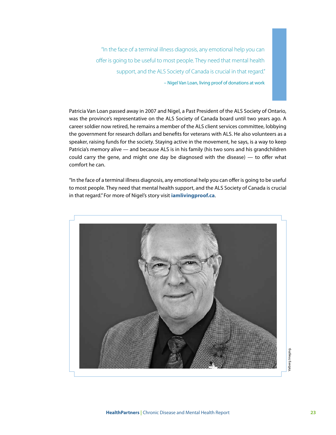"In the face of a terminal illness diagnosis, any emotional help you can offer is going to be useful to most people. They need that mental health support, and the ALS Society of Canada is crucial in that regard." – Nigel Van Loan, living proof of donations at work

Patricia Van Loan passed away in 2007 and Nigel, a Past President of the ALS Society of Ontario, was the province's representative on the ALS Society of Canada board until two years ago. A career soldier now retired, he remains a member of the ALS client services committee, lobbying the government for research dollars and benefits for veterans with ALS. He also volunteers as a speaker, raising funds for the society. Staying active in the movement, he says, is a way to keep Patricia's memory alive — and because ALS is in his family (his two sons and his grandchildren could carry the gene, and might one day be diagnosed with the disease) — to offer what comfort he can.

"In the face of a terminal illness diagnosis, any emotional help you can offer is going to be useful to most people. They need that mental health support, and the ALS Society of Canada is crucial in that regard." For more of Nigel's story visit **iamlivingproof.ca**.

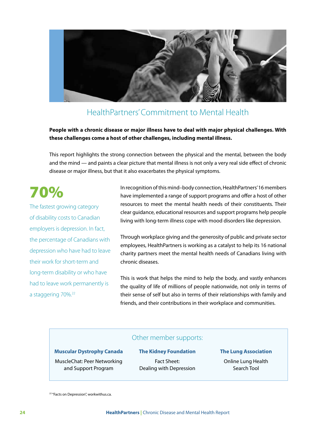

## HealthPartners' Commitment to Mental Health

**People with a chronic disease or major illness have to deal with major physical challenges. With these challenges come a host of other challenges, including mental illness.**

This report highlights the strong connection between the physical and the mental, between the body and the mind — and paints a clear picture that mental illness is not only a very real side effect of chronic disease or major illness, but that it also exacerbates the physical symptoms.

## 70%

The fastest growing category of disability costs to Canadian employers is depression. In fact, the percentage of Canadians with depression who have had to leave their work for short-term and long-term disability or who have had to leave work permanently is a staggering 70%.22

In recognition of this mind–body connection, HealthPartners' 16 members have implemented a range of support programs and offer a host of other resources to meet the mental health needs of their constituents. Their clear guidance, educational resources and support programs help people living with long-term illness cope with mood disorders like depression.

Through workplace giving and the generosity of public and private sector employees, HealthPartners is working as a catalyst to help its 16 national charity partners meet the mental health needs of Canadians living with chronic diseases.

This is work that helps the mind to help the body, and vastly enhances the quality of life of millions of people nationwide, not only in terms of their sense of self but also in terms of their relationships with family and friends, and their contributions in their workplace and communities.

#### Other member supports:

#### **Muscular Dystrophy Canada**

MuscleChat: Peer Networking and Support Program

**The Kidney Foundation**  Fact Sheet: Dealing with Depression

**The Lung Association**  Online Lung Health Search Tool

<sup>22</sup> "Facts on Depression", workwithus.ca.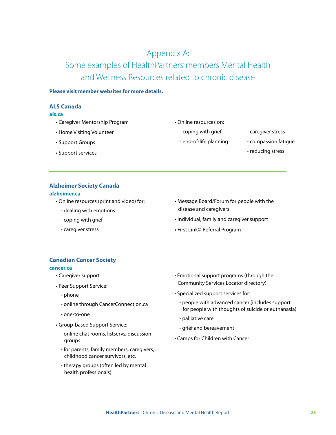## Appendix A:

Some examples of HealthPartners' members Mental Health and Wellness Resources related to chronic disease

#### **Please visit member websites for more details.**

#### **ALS Canada**

#### **als.ca**

- Caregiver Mentorship Program
- Home Visiting Volunteer
- Support Groups
- Support services
- Online resources on:
	- coping with grief
	- end-of-life planning
- caregiver stress
- compassion fatigue
- reducing stress

#### **Alzheimer Society Canada**

#### **alzheimer.ca**

- Online resources (print and video) for:
	- dealing with emotions
	- coping with grief
	- caregiver stress
- Message Board/Forum for people with the disease and caregivers
- Individual, family and caregiver support
- First Link© Referral Program

#### **Canadian Cancer Society**

#### **cancer.ca**

- Caregiver support
- Peer Support Service:
	- phone
	- online through CancerConnection.ca
	- one-to-one
- Group-based Support Service:
	- online chat rooms, listservs, discussion groups
	- for parents, family members, caregivers, childhood cancer survivors, etc.
	- therapy groups (often led by mental health professionals)
- Emotional support programs (through the Community Services Locator directory)
- Specialized support services for:
	- people with advanced cancer (includes support for people with thoughts of suicide or euthanasia)
	- palliative care
	- grief and bereavement
- Camps for Children with Cancer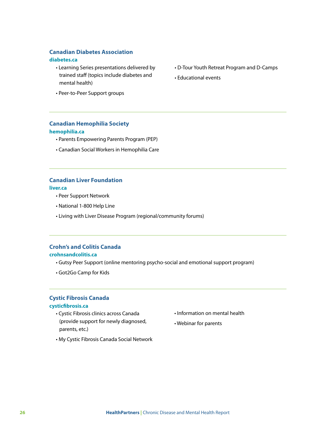#### **Canadian Diabetes Association**

#### **diabetes.ca**

- Learning Series presentations delivered by trained staff (topics include diabetes and mental health)
- Peer-to-Peer Support groups

#### **Canadian Hemophilia Society hemophilia.ca**

- Parents Empowering Parents Program (PEP)
- Canadian Social Workers in Hemophilia Care

#### **Canadian Liver Foundation**

**liver.ca**

- Peer Support Network
- National 1-800 Help Line
- Living with Liver Disease Program (regional/community forums)

#### **Crohn's and Colitis Canada**

#### **crohnsandcolitis.ca**

- Gutsy Peer Support (online mentoring psycho-social and emotional support program)
- Got2Go Camp for Kids

#### **Cystic Fibrosis Canada cysticfibrosis.ca**

- Cystic Fibrosis clinics across Canada (provide support for newly diagnosed, parents, etc.)
- Information on mental health
- Webinar for parents
- My Cystic Fibrosis Canada Social Network
- D-Tour Youth Retreat Program and D-Camps
- Educational events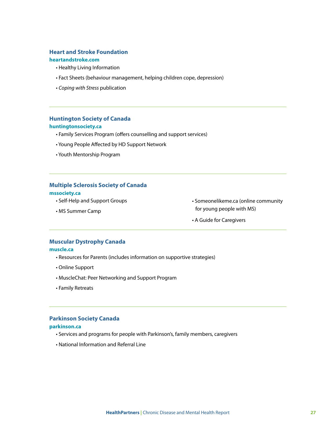#### **Heart and Stroke Foundation**

#### **heartandstroke.com**

- Healthy Living Information
- Fact Sheets (behaviour management, helping children cope, depression)
- *Coping with Stress* publication

## **Huntington Society of Canada**

#### **huntingtonsociety.ca**

- Family Services Program (offers counselling and support services)
- Young People Affected by HD Support Network
- Youth Mentorship Program

## **Multiple Sclerosis Society of Canada**

#### **mssociety.ca**

- Self-Help and Support Groups
- MS Summer Camp
- Someonelikeme.ca (online community for young people with MS)
- A Guide for Caregivers

#### **Muscular Dystrophy Canada**

#### **muscle.ca**

- Resources for Parents (includes information on supportive strategies)
- Online Support
- MuscleChat: Peer Networking and Support Program
- Family Retreats

#### **Parkinson Society Canada**

#### **parkinson.ca**

- Services and programs for people with Parkinson's, family members, caregivers
- National Information and Referral Line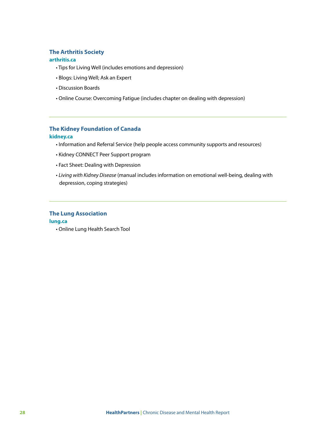#### **The Arthritis Society**

#### **arthritis.ca**

- Tips for Living Well (includes emotions and depression)
- Blogs: Living Well; Ask an Expert
- Discussion Boards
- Online Course: Overcoming Fatigue (includes chapter on dealing with depression)

#### **The Kidney Foundation of Canada kidney.ca**

- Information and Referral Service (help people access community supports and resources)
- Kidney CONNECT Peer Support program
- Fact Sheet: Dealing with Depression
- *Living with Kidney Disease* (manual includes information on emotional well-being, dealing with depression, coping strategies)

#### **The Lung Association lung.ca**

• Online Lung Health Search Tool